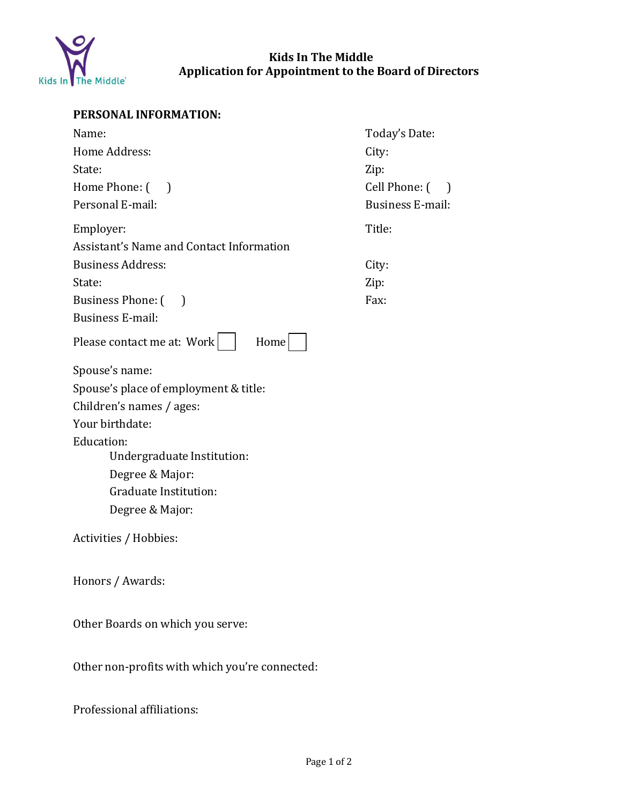

## **PERSONAL INFORMATION:**

| Name:<br>Home Address:<br>State:<br>Home Phone: (<br>$\mathcal{L}$<br>Personal E-mail: | Today's Date:<br>City:<br>Zip:<br>Cell Phone: (<br>$\mathcal{L}$<br><b>Business E-mail:</b> |
|----------------------------------------------------------------------------------------|---------------------------------------------------------------------------------------------|
| Employer:<br>Assistant's Name and Contact Information                                  | Title:                                                                                      |
| <b>Business Address:</b>                                                               | City:                                                                                       |
| State:                                                                                 | Zip:                                                                                        |
| Business Phone: ()                                                                     | Fax:                                                                                        |
| <b>Business E-mail:</b>                                                                |                                                                                             |
| Please contact me at: Work<br>Home                                                     |                                                                                             |
| Spouse's name:                                                                         |                                                                                             |
| Spouse's place of employment & title:                                                  |                                                                                             |
| Children's names / ages:                                                               |                                                                                             |
| Your birthdate:                                                                        |                                                                                             |
| Education:                                                                             |                                                                                             |
| Undergraduate Institution:                                                             |                                                                                             |
| Degree & Major:                                                                        |                                                                                             |
| <b>Graduate Institution:</b>                                                           |                                                                                             |
| Degree & Major:                                                                        |                                                                                             |
| Activities / Hobbies:                                                                  |                                                                                             |
| Honors / Awards:                                                                       |                                                                                             |
| Other Boards on which you serve:                                                       |                                                                                             |
| Other non-profits with which you're connected:                                         |                                                                                             |
| Professional affiliations:                                                             |                                                                                             |